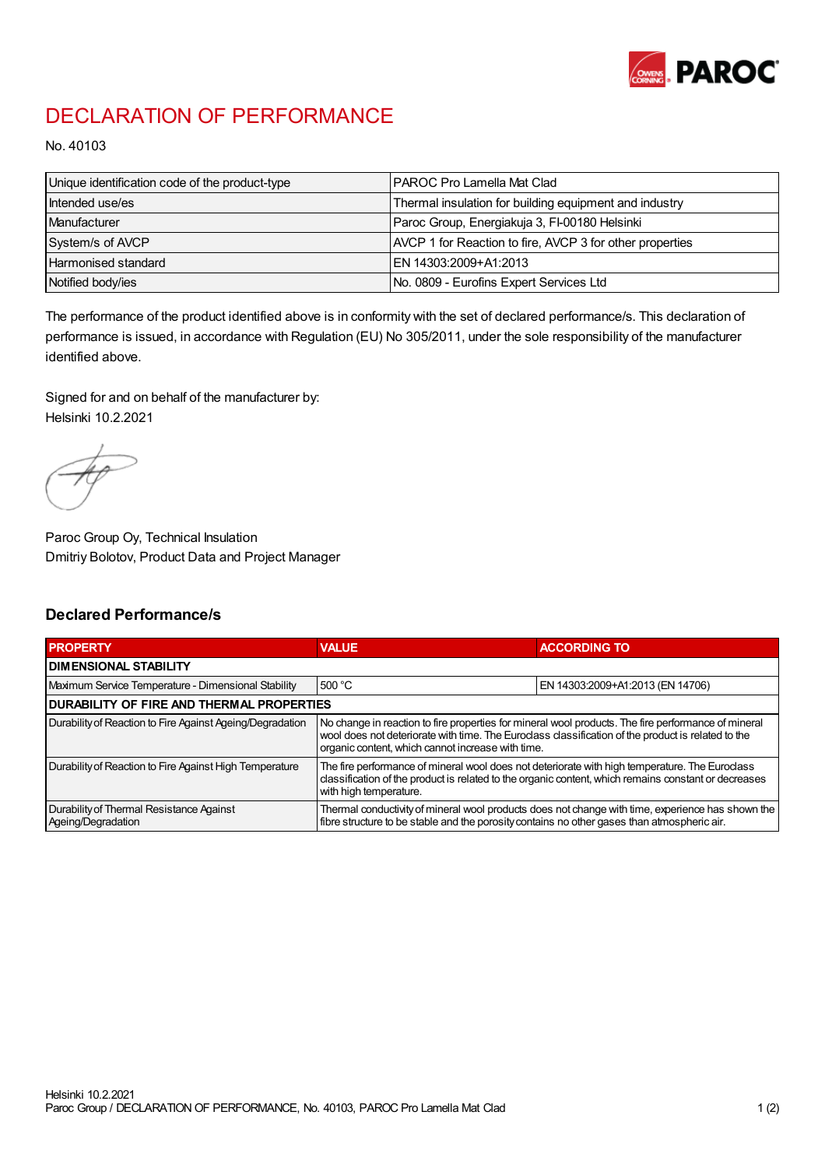

## DECLARATION OF PERFORMANCE

No. 40103

| Unique identification code of the product-type | I PAROC Pro Lamella Mat Clad                             |
|------------------------------------------------|----------------------------------------------------------|
| Intended use/es                                | Thermal insulation for building equipment and industry   |
| Manufacturer                                   | Paroc Group, Energiakuja 3, FI-00180 Helsinki            |
| System/s of AVCP                               | AVCP 1 for Reaction to fire, AVCP 3 for other properties |
| Harmonised standard                            | IEN 14303:2009+A1:2013                                   |
| Notified body/ies                              | No. 0809 - Eurofins Expert Services Ltd                  |

The performance of the product identified above is in conformity with the set of declared performance/s. This declaration of performance is issued, in accordance with Regulation (EU) No 305/2011, under the sole responsibility of the manufacturer identified above.

Signed for and on behalf of the manufacturer by: Helsinki 10.2.2021

Paroc Group Oy, Technical Insulation Dmitriy Bolotov, Product Data and Project Manager

## Declared Performance/s

| <b>PROPERTY</b>                                                | <b>VALUE</b>                                                                                                                                                                                                                                                   | <b>ACCORDING TO</b>              |  |
|----------------------------------------------------------------|----------------------------------------------------------------------------------------------------------------------------------------------------------------------------------------------------------------------------------------------------------------|----------------------------------|--|
| <b>DIMENSIONAL STABILITY</b>                                   |                                                                                                                                                                                                                                                                |                                  |  |
| Maximum Service Temperature - Dimensional Stability            | 500 °C                                                                                                                                                                                                                                                         | EN 14303:2009+A1:2013 (EN 14706) |  |
| <b>DURABILITY OF FIRE AND THERMAL PROPERTIES</b>               |                                                                                                                                                                                                                                                                |                                  |  |
| Durability of Reaction to Fire Against Ageing/Degradation      | No change in reaction to fire properties for mineral wool products. The fire performance of mineral<br>wool does not deteriorate with time. The Euroclass classification of the product is related to the<br>organic content, which cannot increase with time. |                                  |  |
| Durability of Reaction to Fire Against High Temperature        | The fire performance of mineral wool does not deteriorate with high temperature. The Eurodass<br>classification of the product is related to the organic content, which remains constant or decreases<br>with high temperature.                                |                                  |  |
| Durability of Thermal Resistance Against<br>Ageing/Degradation | Thermal conductivity of mineral wool products does not change with time, experience has shown the<br>fibre structure to be stable and the porosity contains no other gases than atmospheric air.                                                               |                                  |  |